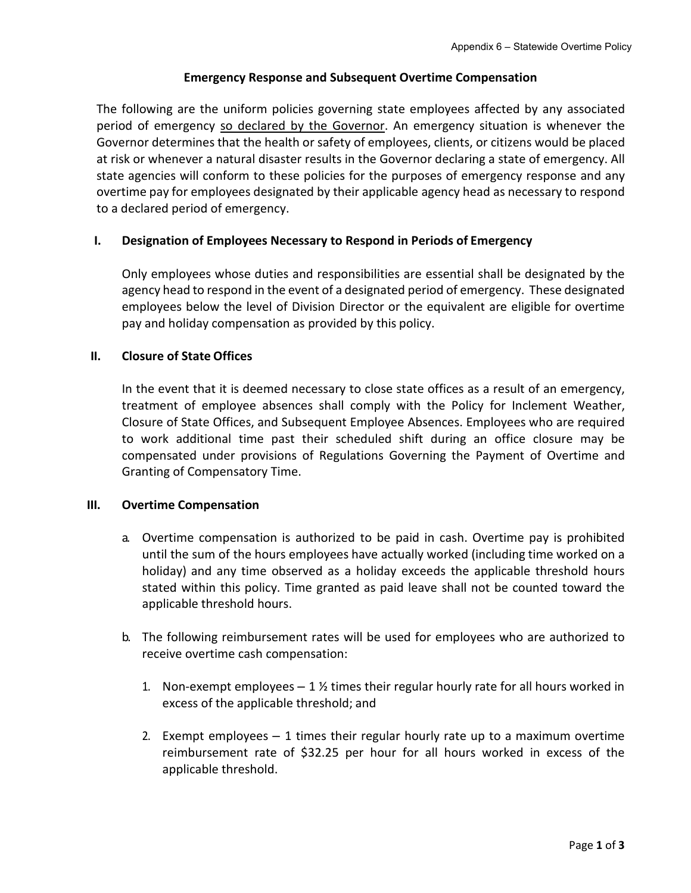# **Emergency Response and Subsequent Overtime Compensation**

The following are the uniform policies governing state employees affected by any associated period of emergency so declared by the Governor. An emergency situation is whenever the Governor determines that the health or safety of employees, clients, or citizens would be placed at risk or whenever a natural disaster results in the Governor declaring a state of emergency. All state agencies will conform to these policies for the purposes of emergency response and any overtime pay for employees designated by their applicable agency head as necessary to respond to a declared period of emergency.

# **I. Designation of Employees Necessary to Respond in Periods of Emergency**

Only employees whose duties and responsibilities are essential shall be designated by the agency head to respond in the event of a designated period of emergency. These designated employees below the level of Division Director or the equivalent are eligible for overtime pay and holiday compensation as provided by this policy.

# **II. Closure of State Offices**

In the event that it is deemed necessary to close state offices as a result of an emergency, treatment of employee absences shall comply with the Policy for Inclement Weather, Closure of State Offices, and Subsequent Employee Absences. Employees who are required to work additional time past their scheduled shift during an office closure may be compensated under provisions of Regulations Governing the Payment of Overtime and Granting of Compensatory Time.

# **III. Overtime Compensation**

- a. Overtime compensation is authorized to be paid in cash. Overtime pay is prohibited until the sum of the hours employees have actually worked (including time worked on a holiday) and any time observed as a holiday exceeds the applicable threshold hours stated within this policy. Time granted as paid leave shall not be counted toward the applicable threshold hours.
- b. The following reimbursement rates will be used for employees who are authorized to receive overtime cash compensation:
	- 1. Non-exempt employees  $-1 \frac{1}{2}$  times their regular hourly rate for all hours worked in excess of the applicable threshold; and
	- 2. Exempt employees 1 times their regular hourly rate up to a maximum overtime reimbursement rate of \$32.25 per hour for all hours worked in excess of the applicable threshold.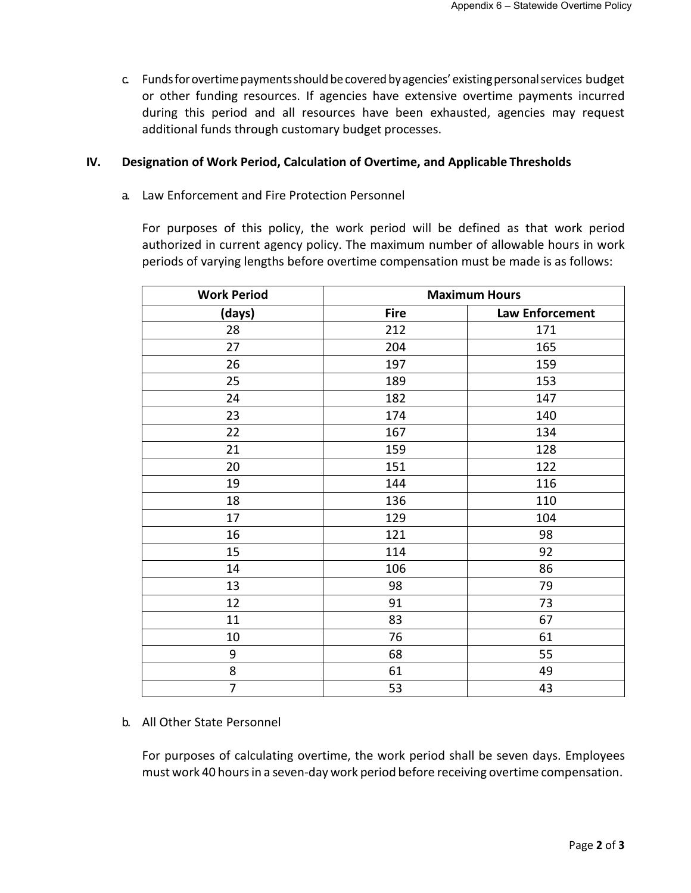c. Fundsforovertimepaymentsshouldbecoveredbyagencies' existingpersonalservices budget or other funding resources. If agencies have extensive overtime payments incurred during this period and all resources have been exhausted, agencies may request additional funds through customary budget processes.

#### **IV. Designation of Work Period, Calculation of Overtime, and Applicable Thresholds**

a. Law Enforcement and Fire Protection Personnel

For purposes of this policy, the work period will be defined as that work period authorized in current agency policy. The maximum number of allowable hours in work periods of varying lengths before overtime compensation must be made is as follows:

| <b>Work Period</b> | <b>Maximum Hours</b> |                 |
|--------------------|----------------------|-----------------|
| (days)             | <b>Fire</b>          | Law Enforcement |
| 28                 | 212                  | 171             |
| 27                 | 204                  | 165             |
| 26                 | 197                  | 159             |
| 25                 | 189                  | 153             |
| 24                 | 182                  | 147             |
| 23                 | 174                  | 140             |
| 22                 | 167                  | 134             |
| 21                 | 159                  | 128             |
| 20                 | 151                  | 122             |
| 19                 | 144                  | 116             |
| 18                 | 136                  | 110             |
| 17                 | 129                  | 104             |
| 16                 | 121                  | 98              |
| 15                 | 114                  | 92              |
| 14                 | 106                  | 86              |
| 13                 | 98                   | 79              |
| 12                 | 91                   | 73              |
| 11                 | 83                   | 67              |
| 10                 | 76                   | 61              |
| 9                  | 68                   | 55              |
| 8                  | 61                   | 49              |
| $\overline{7}$     | 53                   | 43              |

# b. All Other State Personnel

For purposes of calculating overtime, the work period shall be seven days. Employees must work 40 hoursin a seven-day work period before receiving overtime compensation.